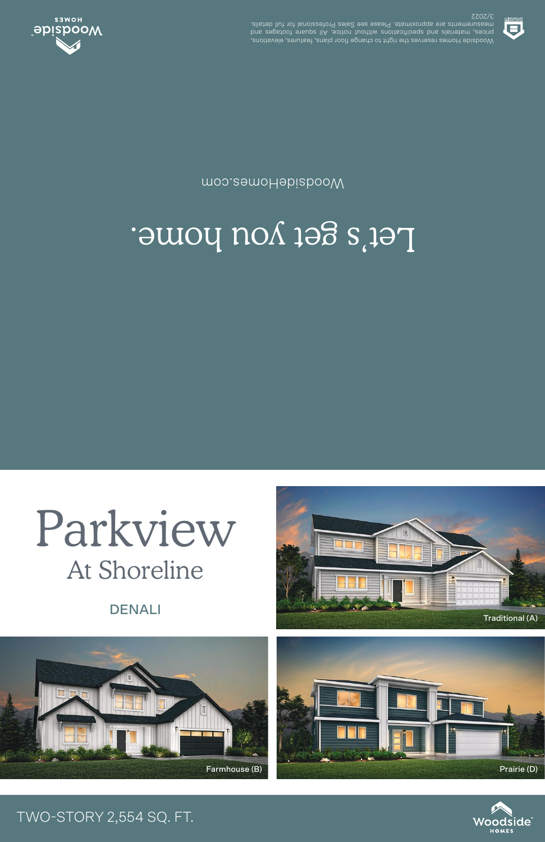Woodside Homes reserves the right to change floor plans, features, elevations, prices, materials and specifications without notice. All square footages and measurements are approximate. Please see Sales Professional for full details. 3/2022



## Let's get you home.

WoodsideHomes.com



## TWO-STORY 2,554 SQ. FT.







DENALI

Parkview

At Shoreline